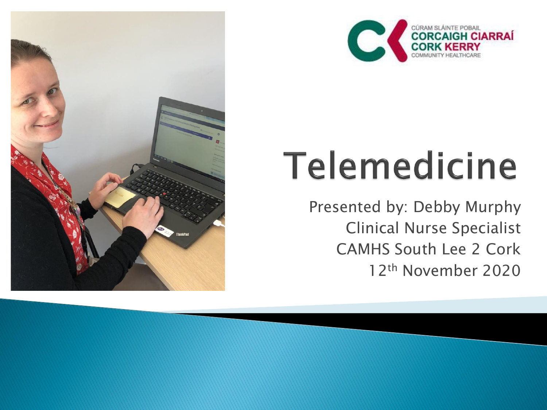



# Telemedicine

Presented by: Debby Murphy Clinical Nurse Specialist CAMHS South Lee 2 Cork 12th November 2020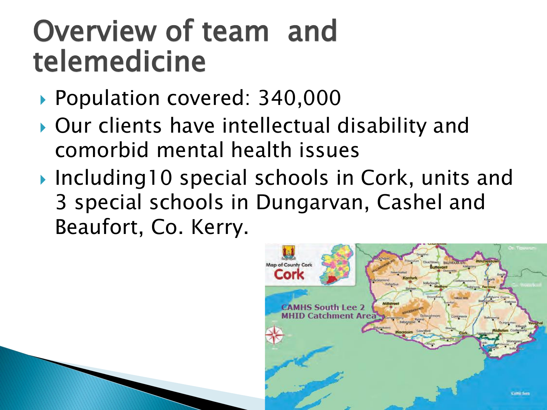#### Overview of team and telemedicine

- ▶ Population covered: 340,000
- ▶ Our clients have intellectual disability and comorbid mental health issues
- ▶ Including10 special schools in Cork, units and 3 special schools in Dungarvan, Cashel and Beaufort, Co. Kerry.

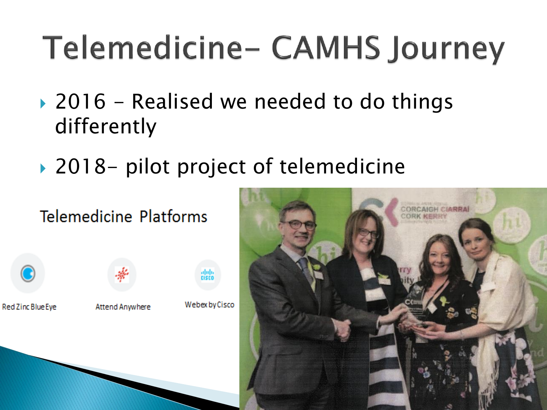### Telemedicine- CAMHS Journey

- ▶ 2016 Realised we needed to do things differently
- ▶ 2018- pilot project of telemedicine

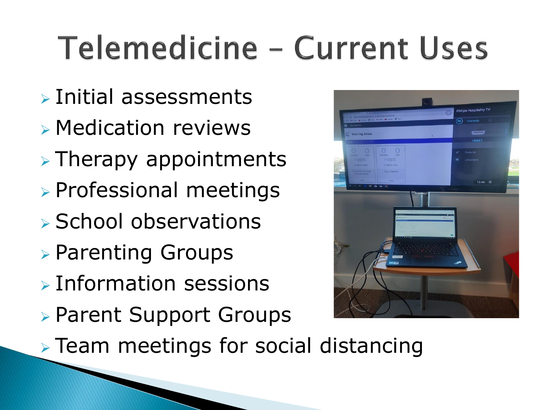### **Telemedicine - Current Uses**

- ➢ Initial assessments
- ➢ Medication reviews
- $\triangleright$  Therapy appointments
- ➢ Professional meetings
- ➢ School observations
- ➢ Parenting Groups
- ➢ Information sessions
- ➢ Parent Support Groups



➢ Team meetings for social distancing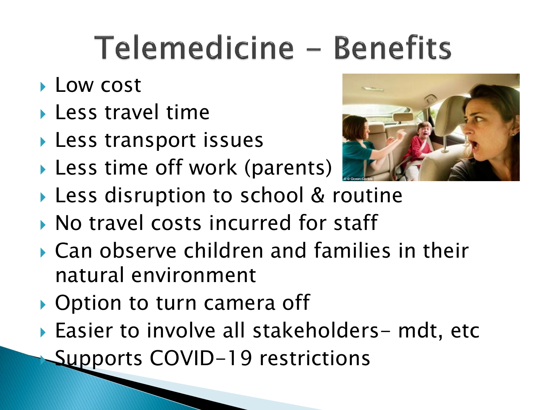#### Telemedicine - Benefits

- **Low cost**
- ▶ Less travel time
- **Less transport issues**
- ▶ Less time off work (parents)



- Less disruption to school & routine
- ▶ No travel costs incurred for staff
- Can observe children and families in their natural environment
- ▶ Option to turn camera off
- ▶ Easier to involve all stakeholders- mdt, etc Supports COVID-19 restrictions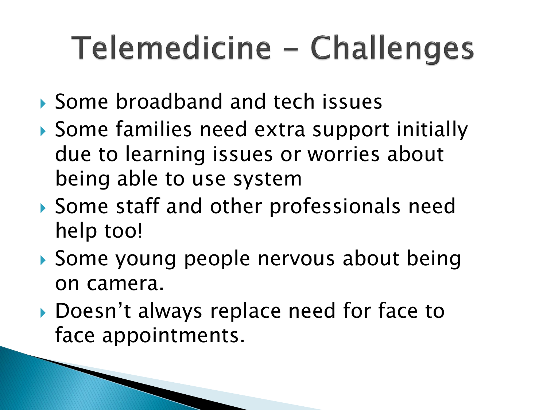### Telemedicine - Challenges

- ▶ Some broadband and tech issues
- Some families need extra support initially due to learning issues or worries about being able to use system
- Some staff and other professionals need help too!
- Some young people nervous about being on camera.
- ▶ Doesn't always replace need for face to face appointments.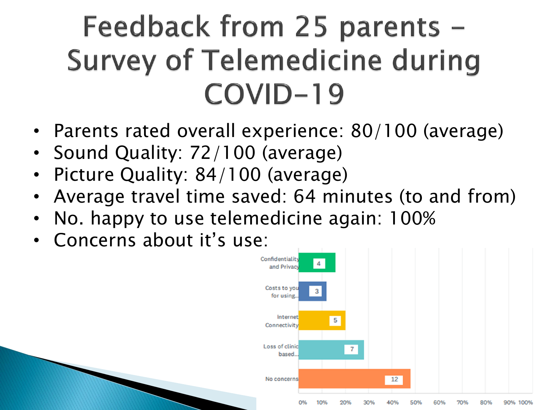#### Feedback from 25 parents -**Survey of Telemedicine during** COVID-19

- Parents rated overall experience: 80/100 (average)
- Sound Quality: 72/100 (average)
- Picture Quality: 84/100 (average)
- Average travel time saved: 64 minutes (to and from)
- No. happy to use telemedicine again: 100%
- Concerns about it's use:

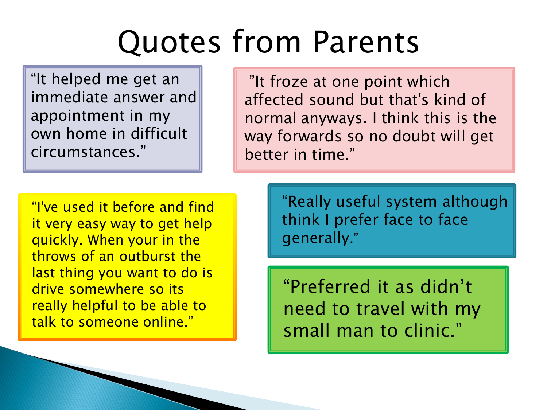#### Quotes from Parents

"It helped me get an immediate answer and appointment in my own home in difficult circumstances."

"It froze at one point which affected sound but that's kind of normal anyways. I think this is the way forwards so no doubt will get better in time."

"I've used it before and find it very easy way to get help quickly. When your in the throws of an outburst the last thing you want to do is drive somewhere so its really helpful to be able to talk to someone online."

"Really useful system although think I prefer face to face generally."

"Preferred it as didn't need to travel with my small man to clinic."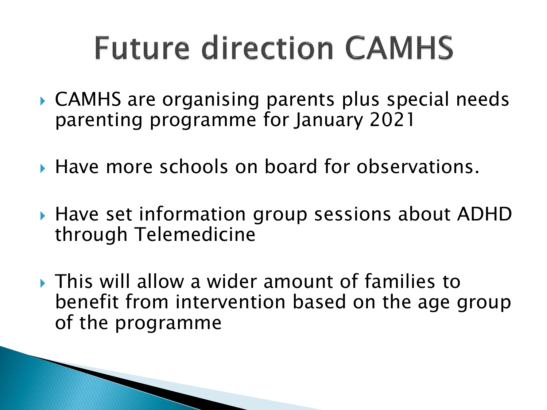#### **Future direction CAMHS**

- ▶ CAMHS are organising parents plus special needs parenting programme for January 2021
- ▶ Have more schools on board for observations.
- ▶ Have set information group sessions about ADHD through Telemedicine
- This will allow a wider amount of families to benefit from intervention based on the age group of the programme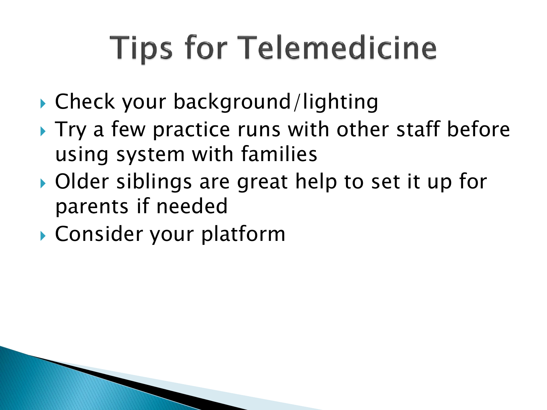## **Tips for Telemedicine**

- ▶ Check your background/lighting
- ▶ Try a few practice runs with other staff before using system with families
- ▶ Older siblings are great help to set it up for parents if needed
- Consider your platform